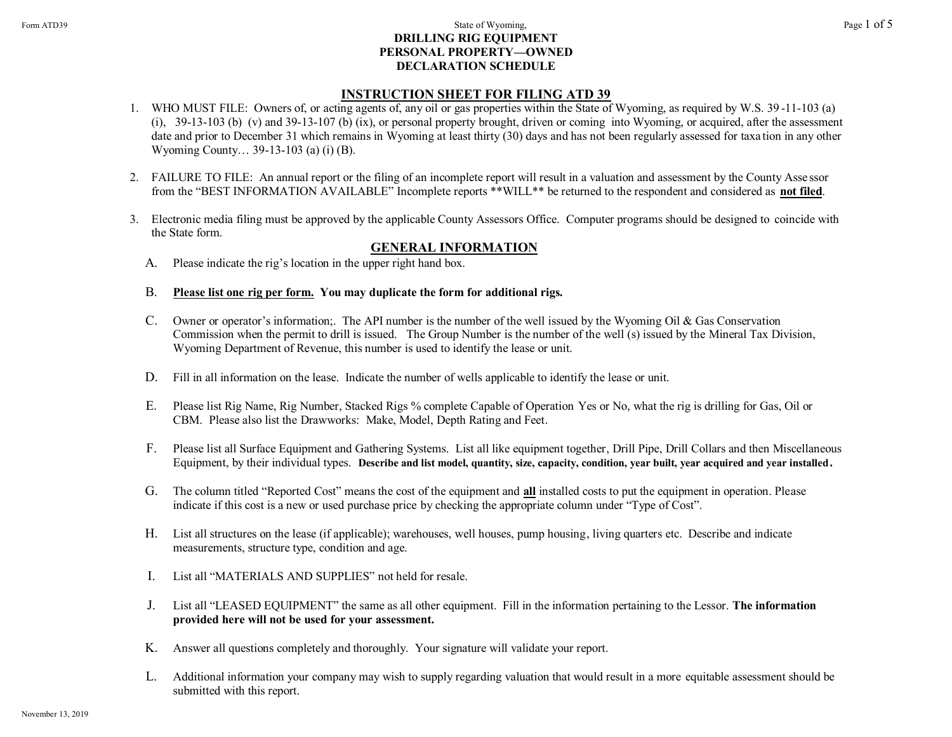## Form ATD39 **State of Wyoming,** Page 1 of 5 **DRILLING RIG EQUIPMENT PERSONAL PROPERTY—OWNED DECLARATION SCHEDULE**

# **INSTRUCTION SHEET FOR FILING ATD 39**

- 1. WHO MUST FILE: Owners of, or acting agents of, any oil or gas properties within the State of Wyoming, as required by W.S. 39 -11-103 (a) (i), 39-13-103 (b) (v) and 39-13-107 (b) (ix), or personal property brought, driven or coming into Wyoming, or acquired, after the assessment date and prior to December 31 which remains in Wyoming at least thirty (30) days and has not been regularly assessed for taxa tion in any other Wyoming County… 39-13-103 (a) (i) (B).
- 2. FAILURE TO FILE: An annual report or the filing of an incomplete report will result in a valuation and assessment by the County Asse ssor from the "BEST INFORMATION AVAILABLE" Incomplete reports \*\*WILL\*\* be returned to the respondent and considered as **not filed**.
- 3. Electronic media filing must be approved by the applicable County Assessors Office. Computer programs should be designed to coincide with the State form.

# **GENERAL INFORMATION**

- A. Please indicate the rig's location in the upper right hand box.
- B. **Please list one rig per form. You may duplicate the form for additional rigs.**
- C. Owner or operator's information;. The API number is the number of the well issued by the Wyoming Oil & Gas Conservation Commission when the permit to drill is issued. The Group Number is the number of the well (s) issued by the Mineral Tax Division, Wyoming Department of Revenue, this number is used to identify the lease or unit.
- D. Fill in all information on the lease. Indicate the number of wells applicable to identify the lease or unit.
- E. Please list Rig Name, Rig Number, Stacked Rigs % complete Capable of Operation Yes or No, what the rig is drilling for Gas, Oil or CBM. Please also list the Drawworks: Make, Model, Depth Rating and Feet.
- F. Please list all Surface Equipment and Gathering Systems. List all like equipment together, Drill Pipe, Drill Collars and then Miscellaneous Equipment, by their individual types. **Describe and list model, quantity, size, capacity, condition, year built, year acquired and year installed.**
- G. The column titled "Reported Cost" means the cost of the equipment and **all** installed costs to put the equipment in operation. Please indicate if this cost is a new or used purchase price by checking the appropriate column under "Type of Cost".
- H. List all structures on the lease (if applicable); warehouses, well houses, pump housing, living quarters etc. Describe and indicate measurements, structure type, condition and age.
- I. List all "MATERIALS AND SUPPLIES" not held for resale.
- J. List all "LEASED EQUIPMENT" the same as all other equipment. Fill in the information pertaining to the Lessor. **The information provided here will not be used for your assessment.**
- K. Answer all questions completely and thoroughly. Your signature will validate your report.
- L. Additional information your company may wish to supply regarding valuation that would result in a more equitable assessment should be submitted with this report.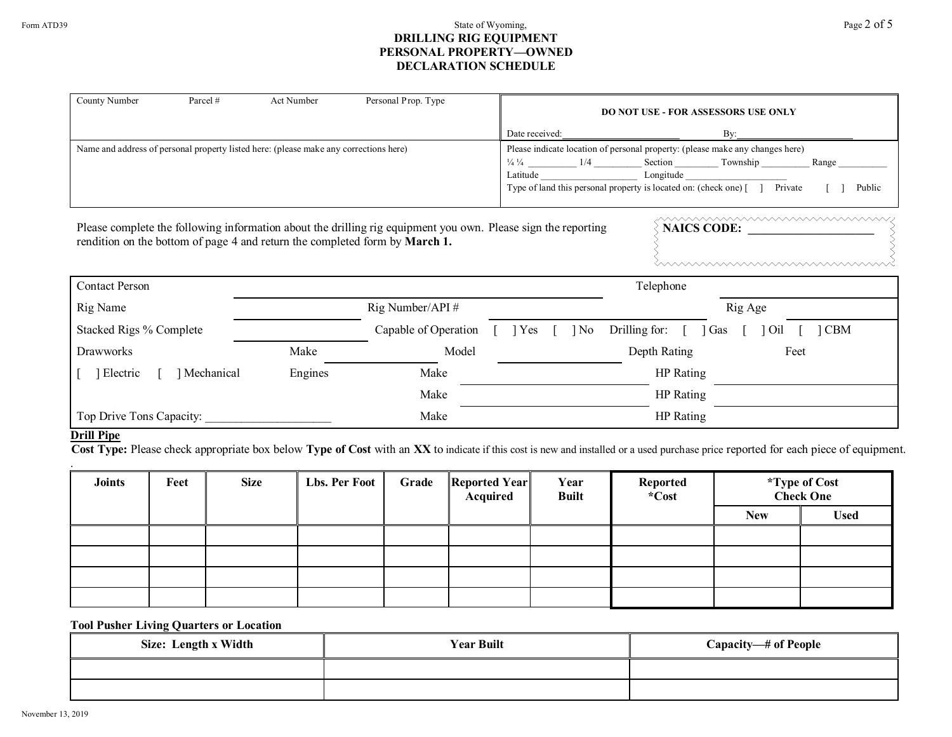## Form ATD39  $\qquad \qquad$  Page 2 of 5 **DRILLING RIG EQUIPMENT PERSONAL PROPERTY—OWNED DECLARATION SCHEDULE**

| County Number<br>Parcel #                                                                                                                                                                                                                                             | Act Number | Personal Prop. Type  |                                                                                                                                                                                                               | <b>DO NOT USE - FOR ASSESSORS USE ONLY</b> |  |  |  |
|-----------------------------------------------------------------------------------------------------------------------------------------------------------------------------------------------------------------------------------------------------------------------|------------|----------------------|---------------------------------------------------------------------------------------------------------------------------------------------------------------------------------------------------------------|--------------------------------------------|--|--|--|
|                                                                                                                                                                                                                                                                       |            |                      | Date received:                                                                                                                                                                                                | By:                                        |  |  |  |
| Name and address of personal property listed here: (please make any corrections here)                                                                                                                                                                                 |            |                      | Please indicate location of personal property: (please make any changes here)<br>Range<br>Latitude Longitude Longitude<br>Type of land this personal property is located on: (check one) [] Private<br>Public |                                            |  |  |  |
| <u>www.www.www.www.www</u> w<br>Please complete the following information about the drilling rig equipment you own. Please sign the reporting<br>NAICS CODE:<br>rendition on the bottom of page 4 and return the completed form by March 1.<br><u>mmmmmmmmmmmmmmm</u> |            |                      |                                                                                                                                                                                                               |                                            |  |  |  |
| <b>Contact Person</b>                                                                                                                                                                                                                                                 |            |                      |                                                                                                                                                                                                               | Telephone                                  |  |  |  |
| Rig Name                                                                                                                                                                                                                                                              |            | Rig Number/API#      | Rig Age                                                                                                                                                                                                       |                                            |  |  |  |
| Stacked Rigs % Complete                                                                                                                                                                                                                                               |            | Capable of Operation | N <sub>0</sub><br>  Yes                                                                                                                                                                                       | Drilling for:<br><b>CBM</b><br>Gas<br>Oil  |  |  |  |
| <b>Drawworks</b>                                                                                                                                                                                                                                                      | Make       | Model                |                                                                                                                                                                                                               | Depth Rating<br>Feet                       |  |  |  |
| Mechanical<br>Electric                                                                                                                                                                                                                                                | Engines    | Make                 |                                                                                                                                                                                                               | HP Rating                                  |  |  |  |
|                                                                                                                                                                                                                                                                       |            | Make                 |                                                                                                                                                                                                               | HP Rating                                  |  |  |  |
| Top Drive Tons Capacity:<br>$\mathbf{v}$ or $\mathbf{v}$                                                                                                                                                                                                              |            | Make                 |                                                                                                                                                                                                               | HP Rating                                  |  |  |  |

## **Drill Pipe**

 **Cost Type:** Please check appropriate box below **Type of Cost** with an **XX** to indicate if this cost is new and installed or a used purchase price reported for each piece of equipment.

| <b>Joints</b> | Feet | <b>Size</b> | Lbs. Per Foot | Grade | Reported Year<br>Acquired | Year<br><b>Built</b> | Reported<br>*Cost |            | <i>*</i> Type of Cost<br>Check One |
|---------------|------|-------------|---------------|-------|---------------------------|----------------------|-------------------|------------|------------------------------------|
|               |      |             |               |       |                           |                      |                   | <b>New</b> | <b>Used</b>                        |
|               |      |             |               |       |                           |                      |                   |            |                                    |
|               |      |             |               |       |                           |                      |                   |            |                                    |
|               |      |             |               |       |                           |                      |                   |            |                                    |
|               |      |             |               |       |                           |                      |                   |            |                                    |

# **Tool Pusher Living Quarters or Location**

| Size: Length x Width | <b>Year Built</b> | Capacity—# of People |
|----------------------|-------------------|----------------------|
|                      |                   |                      |
|                      |                   |                      |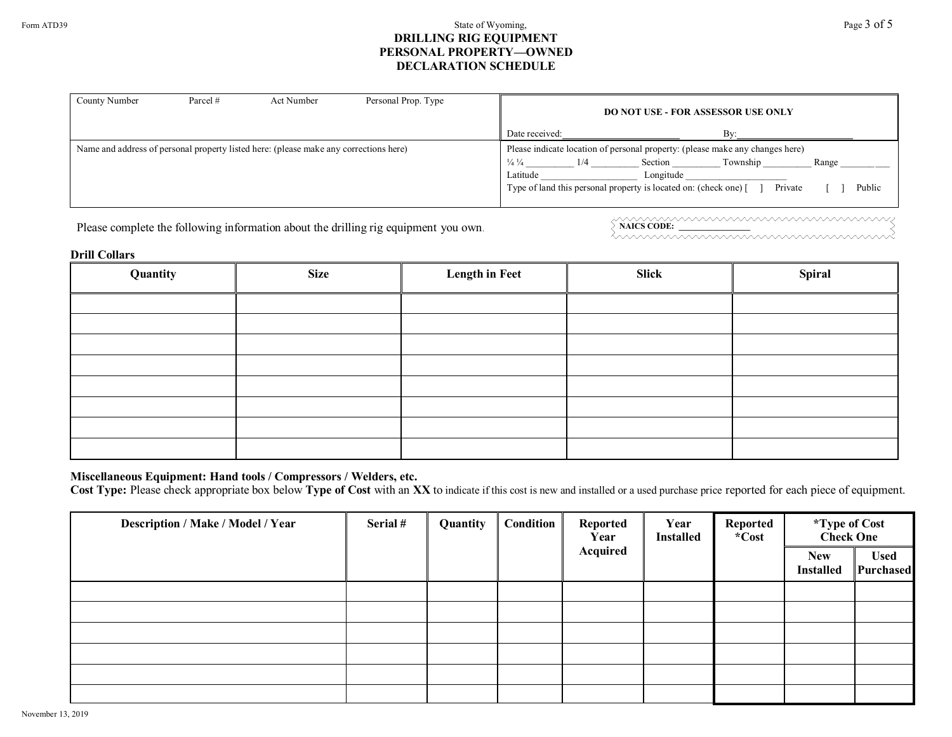## Form ATD39 **State of Wyoming,** Page 3 of 5 **DRILLING RIG EQUIPMENT PERSONAL PROPERTY—OWNED DECLARATION SCHEDULE**

| County Number | Parcel # | Act Number                                                                            | Personal Prop. Type | <b>DO NOT USE - FOR ASSESSOR USE ONLY</b>                                                                                                                                                                                                                             |
|---------------|----------|---------------------------------------------------------------------------------------|---------------------|-----------------------------------------------------------------------------------------------------------------------------------------------------------------------------------------------------------------------------------------------------------------------|
|               |          |                                                                                       |                     | Bv<br>Date received:                                                                                                                                                                                                                                                  |
|               |          | Name and address of personal property listed here: (please make any corrections here) |                     | Please indicate location of personal property: (please make any changes here)<br>Township<br>$\frac{1}{4}$ $\frac{1}{4}$<br>Range<br>Section<br>1/4<br>Latitude<br>Longitude<br>Type of land this personal property is located on: (check one) [<br>Public<br>Private |

Please complete the following information about the drilling rig equipment you own. <br>
NAICS CODE: <u>NAICS CODE:</u> NAICS CODE: NAICS CODE: NAICS CODE: NAICS CODE: NAILS CODE: NAILS CODE: NAILS CODE: NAILS CODE: NAILS CODE: NA

#### **Drill Collars**

| Quantity | <b>Size</b> | <b>Length in Feet</b> | Slick | <b>Spiral</b> |
|----------|-------------|-----------------------|-------|---------------|
|          |             |                       |       |               |
|          |             |                       |       |               |
|          |             |                       |       |               |
|          |             |                       |       |               |
|          |             |                       |       |               |
|          |             |                       |       |               |
|          |             |                       |       |               |
|          |             |                       |       |               |

# **Miscellaneous Equipment: Hand tools / Compressors / Welders, etc.**

Cost Type: Please check appropriate box below Type of Cost with an XX to indicate if this cost is new and installed or a used purchase price reported for each piece of equipment.

| Description / Make / Model / Year | Serial # | Quantity | Condition | Reported<br>Year<br>Acquired | Year<br><b>Installed</b> | Reported<br>*Cost | <i>*</i> Type of Cost<br>Check One |                          |
|-----------------------------------|----------|----------|-----------|------------------------------|--------------------------|-------------------|------------------------------------|--------------------------|
|                                   |          |          |           |                              |                          |                   | <b>New</b><br><b>Installed</b>     | <b>Used</b><br>Purchased |
|                                   |          |          |           |                              |                          |                   |                                    |                          |
|                                   |          |          |           |                              |                          |                   |                                    |                          |
|                                   |          |          |           |                              |                          |                   |                                    |                          |
|                                   |          |          |           |                              |                          |                   |                                    |                          |
|                                   |          |          |           |                              |                          |                   |                                    |                          |
|                                   |          |          |           |                              |                          |                   |                                    |                          |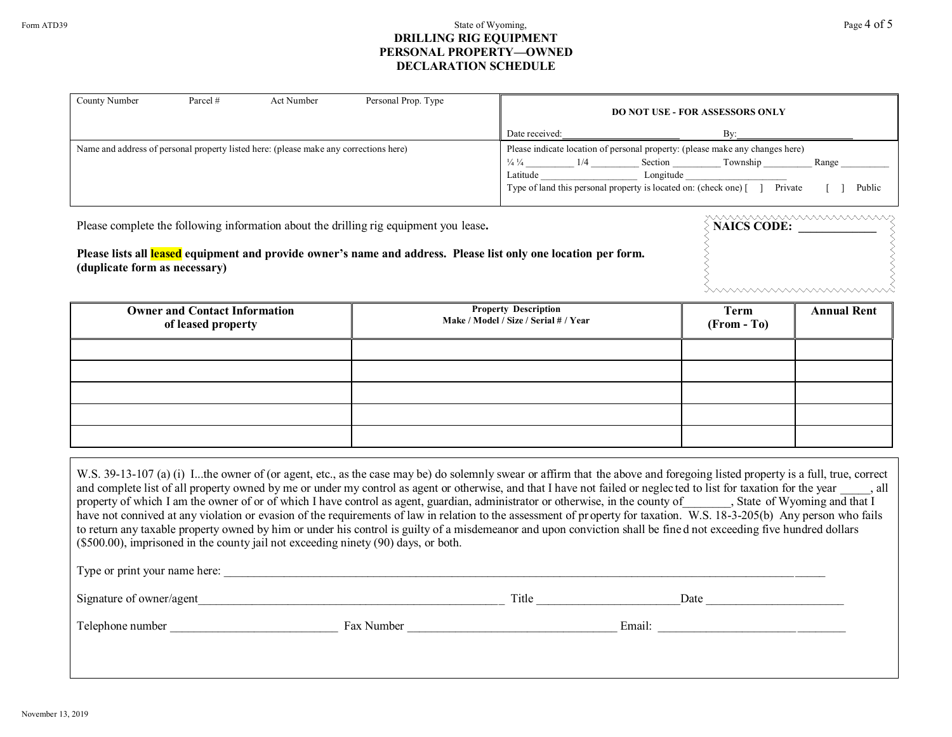## Form ATD39  $\qquad \qquad$  Page 4 of 5 **DRILLING RIG EQUIPMENT PERSONAL PROPERTY—OWNED DECLARATION SCHEDULE**

| County Number | Parcel # | Act Number                                                                            | Personal Prop. Type |                                         |     | <b>DO NOT USE - FOR ASSESSORS ONLY</b>                                                                                                                                    |                     |                 |
|---------------|----------|---------------------------------------------------------------------------------------|---------------------|-----------------------------------------|-----|---------------------------------------------------------------------------------------------------------------------------------------------------------------------------|---------------------|-----------------|
|               |          |                                                                                       |                     | Date received:                          |     |                                                                                                                                                                           | Rv                  |                 |
|               |          | Name and address of personal property listed here: (please make any corrections here) |                     | $\frac{1}{4}$ $\frac{1}{4}$<br>Latitude | 1/4 | Please indicate location of personal property: (please make any changes here)<br>Section<br>Longitude<br>Type of land this personal property is located on: (check one) [ | Township<br>Private | Range<br>Public |

| Please complete the following information about the drilling rig equipment you lease.                                                            | www.www.www.www.ww<br>NAICS CODE: |
|--------------------------------------------------------------------------------------------------------------------------------------------------|-----------------------------------|
| Please lists all leased equipment and provide owner's name and address. Please list only one location per form.<br>(duplicate form as necessary) |                                   |
|                                                                                                                                                  | <i><b>WAAAAAAAAAAAAAAAAAA</b></i> |

| <b>Owner and Contact Information</b><br>of leased property | <b>Property Description</b><br>Make / Model / Size / Serial # / Year | Term<br>$(From - To)$ | <b>Annual Rent</b> |
|------------------------------------------------------------|----------------------------------------------------------------------|-----------------------|--------------------|
|                                                            |                                                                      |                       |                    |
|                                                            |                                                                      |                       |                    |
|                                                            |                                                                      |                       |                    |
|                                                            |                                                                      |                       |                    |
|                                                            |                                                                      |                       |                    |

| W.S. 39-13-107 (a) (i) Ithe owner of (or agent, etc., as the case may be) do solemnly swear or affirm that the above and foregoing listed property is a full, true, correct<br>and complete list of all property owned by me or under my control as agent or otherwise, and that I have not failed or neglected to list for taxation for the year, all<br>property of which I am the owner of or of which I have control as agent, guardian, administrator or otherwise, in the county of State of Wyoming and that I<br>have not connived at any violation or evasion of the requirements of law in relation to the assessment of property for taxation. W.S. 18-3-205(b) Any person who fails<br>to return any taxable property owned by him or under his control is guilty of a misdemeanor and upon conviction shall be fined not exceeding five hundred dollars<br>$($500.00)$ , imprisoned in the county jail not exceeding ninety $(90)$ days, or both.<br>Type or print your name here: |            |        |      |
|-------------------------------------------------------------------------------------------------------------------------------------------------------------------------------------------------------------------------------------------------------------------------------------------------------------------------------------------------------------------------------------------------------------------------------------------------------------------------------------------------------------------------------------------------------------------------------------------------------------------------------------------------------------------------------------------------------------------------------------------------------------------------------------------------------------------------------------------------------------------------------------------------------------------------------------------------------------------------------------------------|------------|--------|------|
|                                                                                                                                                                                                                                                                                                                                                                                                                                                                                                                                                                                                                                                                                                                                                                                                                                                                                                                                                                                                 |            |        |      |
| Signature of owner/agent                                                                                                                                                                                                                                                                                                                                                                                                                                                                                                                                                                                                                                                                                                                                                                                                                                                                                                                                                                        |            | Title  | Date |
| Telephone number                                                                                                                                                                                                                                                                                                                                                                                                                                                                                                                                                                                                                                                                                                                                                                                                                                                                                                                                                                                | Fax Number | Email: |      |
|                                                                                                                                                                                                                                                                                                                                                                                                                                                                                                                                                                                                                                                                                                                                                                                                                                                                                                                                                                                                 |            |        |      |